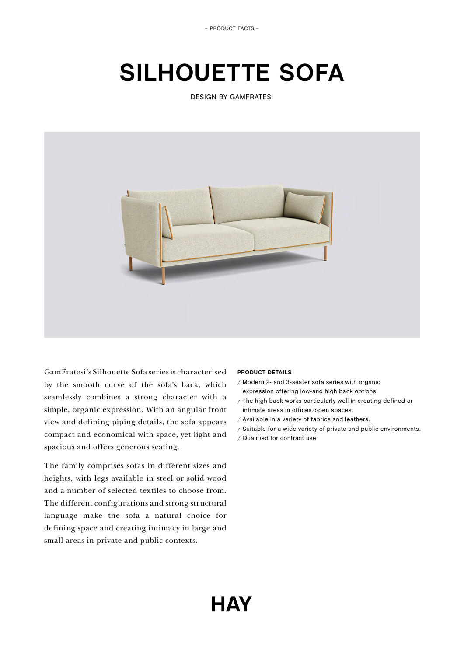– PRODUCT FACTS –

# **SILHOUETTE SOFA**

DESIGN BY GAMFRATESI



GamFratesi's Silhouette Sofa series is characterised by the smooth curve of the sofa's back, which seamlessly combines a strong character with a simple, organic expression. With an angular front view and defining piping details, the sofa appears compact and economical with space, yet light and spacious and offers generous seating.

The family comprises sofas in different sizes and heights, with legs available in steel or solid wood and a number of selected textiles to choose from. The different configurations and strong structural language make the sofa a natural choice for defining space and creating intimacy in large and small areas in private and public contexts.

## **PRODUCT DETAILS**

- / Modern 2- and 3-seater sofa series with organic expression offering low-and high back options.
- / The high back works particularly well in creating defined or intimate areas in offices/open spaces.
- / Available in a variety of fabrics and leathers.
- / Suitable for a wide variety of private and public environments.
- / Qualified for contract use.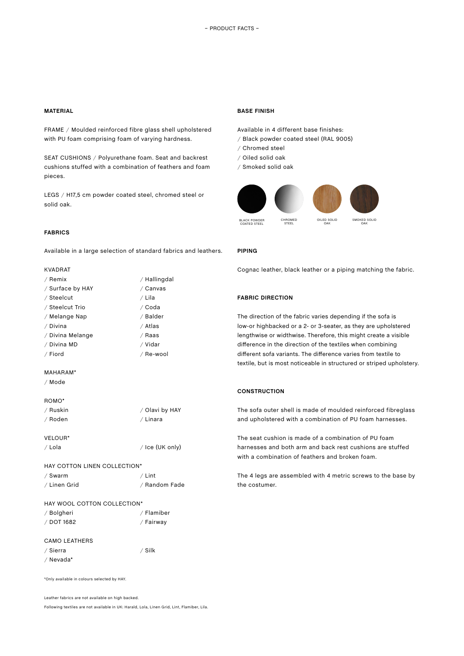#### **MATERIAL**

FRAME / Moulded reinforced fibre glass shell upholstered with PU foam comprising foam of varying hardness.

SEAT CUSHIONS / Polyurethane foam. Seat and backrest cushions stuffed with a combination of feathers and foam pieces.

LEGS / H17,5 cm powder coated steel, chromed steel or solid oak.

#### **FABRICS**

Available in a large selection of standard fabrics and leathers.

#### KVADRAT

| / Remix          | / Hallingdal |
|------------------|--------------|
| / Surface by HAY | / Canvas     |
| / Steelcut       | / Lila       |
| / Steelcut Trio  | ∕ Coda       |
| / Melange Nap    | / Balder     |
| / Divina         | / Atlas      |
| / Divina Melange | ∕ Raas       |
| / Divina MD      | / Vidar      |
| / Fiord          | / Re-wool    |

#### MAHARAM\*

/ Mode

#### ROMO\*

| / Ruskin | / Olavi by HAY |
|----------|----------------|
| / Roden  | / Linara       |

VELOUR\* / Lola / Ice (UK only)

# HAY COTTON LINEN COLLECTION\*

| / Swarm      | / Lint        |
|--------------|---------------|
| ∕ Linen Grid | / Random Fade |

## HAY WOOL COTTON COLLECTION\*

| / Bolgheri | / Flamiber |
|------------|------------|
| / DOT 1682 | / Fairway  |

#### CAMO LEATHERS

| / Sierra  | / Silk |
|-----------|--------|
| / Nevada* |        |

\*Only available in colours selected by HAY.

Leather fabrics are not available on high backed.

Following textiles are not available in UK: Harald, Lola, Linen Grid, Lint, Flamiber, Lila.

#### **BASE FINISH**

Available in 4 different base finishes:

- / Black powder coated steel (RAL 9005)
- / Chromed steel
- / Oiled solid oak
- / Smoked solid oak



#### **PIPING**

Cognac leather, black leather or a piping matching the fabric.

#### **FABRIC DIRECTION**

The direction of the fabric varies depending if the sofa is low-or highbacked or a 2- or 3-seater, as they are upholstered lengthwise or widthwise. Therefore, this might create a visible difference in the direction of the textiles when combining different sofa variants. The difference varies from textile to textile, but is most noticeable in structured or striped upholstery.

#### **CONSTRUCTION**

The sofa outer shell is made of moulded reinforced fibreglass and upholstered with a combination of PU foam harnesses.

The seat cushion is made of a combination of PU foam harnesses and both arm and back rest cushions are stuffed with a combination of feathers and broken foam.

The 4 legs are assembled with 4 metric screws to the base by the costumer.